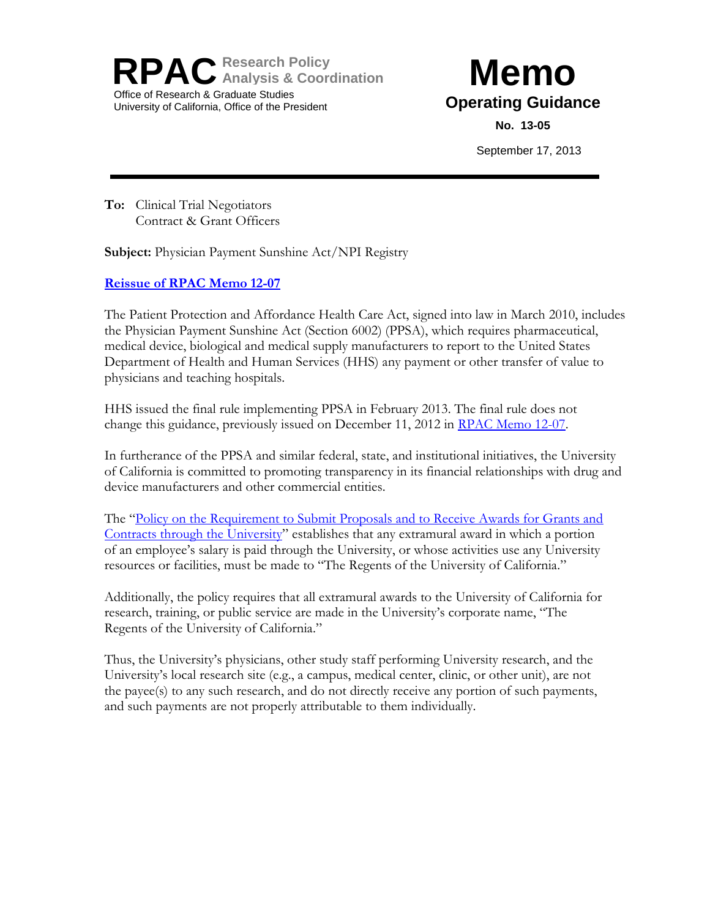**RPACResearch Policy Analysis & Coordination** Office of Research & Graduate Studies University of California, Office of the President

## **Memo Operating Guidance**

**No. 13-05**

September 17, 2013

**To:** Clinical Trial Negotiators Contract & Grant Officers

**Subject:** Physician Payment Sunshine Act/NPI Registry

## **[Reissue of RPAC Memo 12-07](http://www.ucop.edu/raohome/cgmemos/12-07.pdf)**

The Patient Protection and Affordance Health Care Act, signed into law in March 2010, includes the Physician Payment Sunshine Act (Section 6002) (PPSA), which requires pharmaceutical, medical device, biological and medical supply manufacturers to report to the United States Department of Health and Human Services (HHS) any payment or other transfer of value to physicians and teaching hospitals.

HHS issued the final rule implementing PPSA in February 2013. The final rule does not change this guidance, previously issued on December 11, 2012 in [RPAC Memo 12-07.](http://www.ucop.edu/raohome/cgmemos/12-07.pdf)

In furtherance of the PPSA and similar federal, state, and institutional initiatives, the University of California is committed to promoting transparency in its financial relationships with drug and device manufacturers and other commercial entities.

The "Policy on the Requirement to Submit Proposals and to Receive Awards for Grants and [Contracts through the University](http://policy.ucop.edu/doc/2500500/ReqSubmitProp-Awar)" establishes that any extramural award in which a portion of an employee's salary is paid through the University, or whose activities use any University resources or facilities, must be made to "The Regents of the University of California."

Additionally, the policy requires that all extramural awards to the University of California for research, training, or public service are made in the University's corporate name, "The Regents of the University of California."

Thus, the University's physicians, other study staff performing University research, and the University's local research site (e.g., a campus, medical center, clinic, or other unit), are not the payee(s) to any such research, and do not directly receive any portion of such payments, and such payments are not properly attributable to them individually.